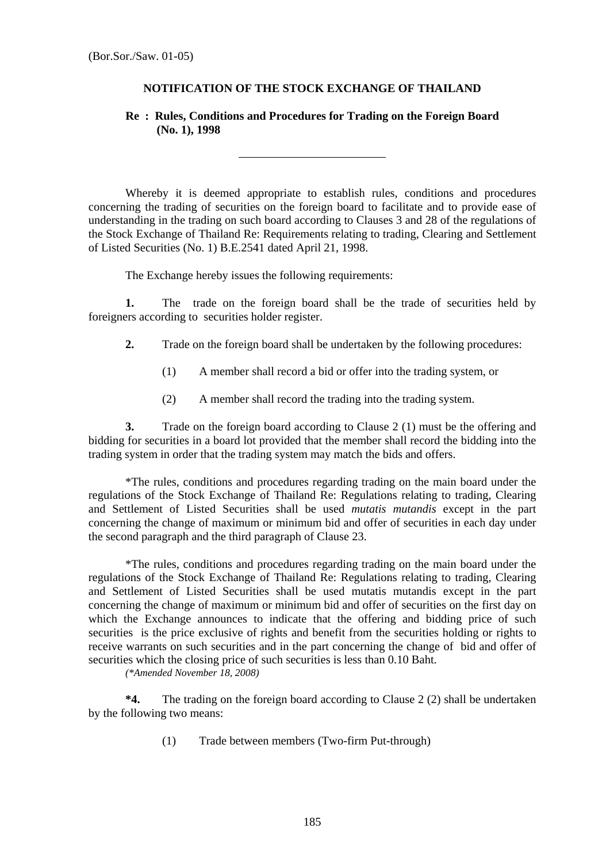## **NOTIFICATION OF THE STOCK EXCHANGE OF THAILAND**

## **Re : Rules, Conditions and Procedures for Trading on the Foreign Board (No. 1), 1998**

Whereby it is deemed appropriate to establish rules, conditions and procedures concerning the trading of securities on the foreign board to facilitate and to provide ease of understanding in the trading on such board according to Clauses 3 and 28 of the regulations of the Stock Exchange of Thailand Re: Requirements relating to trading, Clearing and Settlement of Listed Securities (No. 1) B.E.2541 dated April 21, 1998.

The Exchange hereby issues the following requirements:

 $\overline{a}$ 

**1.** The trade on the foreign board shall be the trade of securities held by foreigners according to securities holder register.

- **2.** Trade on the foreign board shall be undertaken by the following procedures:
	- (1) A member shall record a bid or offer into the trading system, or
	- (2) A member shall record the trading into the trading system.

**3.** Trade on the foreign board according to Clause 2 (1) must be the offering and bidding for securities in a board lot provided that the member shall record the bidding into the trading system in order that the trading system may match the bids and offers.

\*The rules, conditions and procedures regarding trading on the main board under the regulations of the Stock Exchange of Thailand Re: Regulations relating to trading, Clearing and Settlement of Listed Securities shall be used *mutatis mutandis* except in the part concerning the change of maximum or minimum bid and offer of securities in each day under the second paragraph and the third paragraph of Clause 23.

\*The rules, conditions and procedures regarding trading on the main board under the regulations of the Stock Exchange of Thailand Re: Regulations relating to trading, Clearing and Settlement of Listed Securities shall be used mutatis mutandis except in the part concerning the change of maximum or minimum bid and offer of securities on the first day on which the Exchange announces to indicate that the offering and bidding price of such securities is the price exclusive of rights and benefit from the securities holding or rights to receive warrants on such securities and in the part concerning the change of bid and offer of securities which the closing price of such securities is less than 0.10 Baht.

*(\*Amended November 18, 2008)* 

**\*4.** The trading on the foreign board according to Clause 2 (2) shall be undertaken by the following two means:

(1) Trade between members (Two-firm Put-through)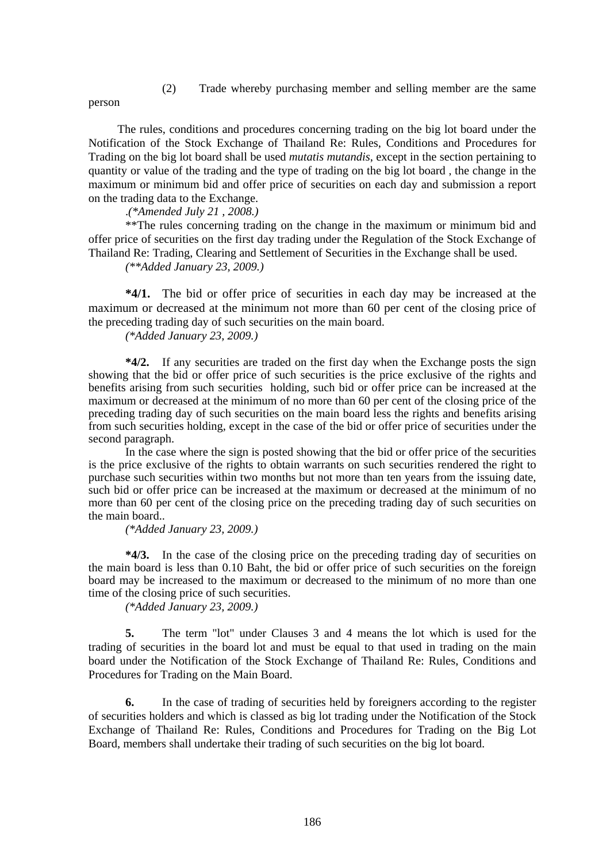(2) Trade whereby purchasing member and selling member are the same

person

The rules, conditions and procedures concerning trading on the big lot board under the Notification of the Stock Exchange of Thailand Re: Rules, Conditions and Procedures for Trading on the big lot board shall be used *mutatis mutandis*, except in the section pertaining to quantity or value of the trading and the type of trading on the big lot board , the change in the maximum or minimum bid and offer price of securities on each day and submission a report on the trading data to the Exchange.

.*(\*Amended July 21 , 2008.)* 

\*\*The rules concerning trading on the change in the maximum or minimum bid and offer price of securities on the first day trading under the Regulation of the Stock Exchange of Thailand Re: Trading, Clearing and Settlement of Securities in the Exchange shall be used.

*(\*\*Added January 23, 2009.)* 

**\*4/1.** The bid or offer price of securities in each day may be increased at the maximum or decreased at the minimum not more than 60 per cent of the closing price of the preceding trading day of such securities on the main board.

*(\*Added January 23, 2009.)* 

**\*4/2.** If any securities are traded on the first day when the Exchange posts the sign showing that the bid or offer price of such securities is the price exclusive of the rights and benefits arising from such securities holding, such bid or offer price can be increased at the maximum or decreased at the minimum of no more than 60 per cent of the closing price of the preceding trading day of such securities on the main board less the rights and benefits arising from such securities holding, except in the case of the bid or offer price of securities under the second paragraph.

 In the case where the sign is posted showing that the bid or offer price of the securities is the price exclusive of the rights to obtain warrants on such securities rendered the right to purchase such securities within two months but not more than ten years from the issuing date, such bid or offer price can be increased at the maximum or decreased at the minimum of no more than 60 per cent of the closing price on the preceding trading day of such securities on the main board..

*(\*Added January 23, 2009.)* 

 **\*4/3.** In the case of the closing price on the preceding trading day of securities on the main board is less than 0.10 Baht, the bid or offer price of such securities on the foreign board may be increased to the maximum or decreased to the minimum of no more than one time of the closing price of such securities.

*(\*Added January 23, 2009.)* 

**5.** The term "lot" under Clauses 3 and 4 means the lot which is used for the trading of securities in the board lot and must be equal to that used in trading on the main board under the Notification of the Stock Exchange of Thailand Re: Rules, Conditions and Procedures for Trading on the Main Board.

**6.** In the case of trading of securities held by foreigners according to the register of securities holders and which is classed as big lot trading under the Notification of the Stock Exchange of Thailand Re: Rules, Conditions and Procedures for Trading on the Big Lot Board, members shall undertake their trading of such securities on the big lot board.